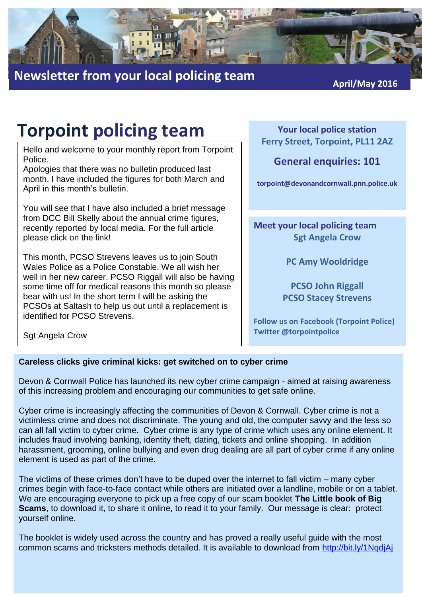

## **Newsletter from your local policing team** *April/May* **2016**

# **Torpoint policing team**

Hello and welcome to your monthly report from Torpoint Police.

Apologies that there was no bulletin produced last month. I have included the figures for both March and April in this month's bulletin.

You will see that I have also included a brief message from DCC Bill Skelly about the annual crime figures, recently reported by local media. For the full article please click on the link!

This month, PCSO Strevens leaves us to join South Wales Police as a Police Constable. We all wish her well in her new career. PCSO Riggall will also be having some time off for medical reasons this month so please bear with us! In the short term I will be asking the PCSOs at Saltash to help us out until a replacement is identified for PCSO Strevens.

**Your local police station Ferry Street, Torpoint, PL11 2AZ**

## **General enquiries: 101**

**torpoint@devonandcornwall.pnn.police.uk**

**Meet your local policing team Sgt Angela Crow**

**PC Amy Wooldridge**

**PCSO John Riggall PCSO Stacey Strevens**

**Follow us on Facebook (Torpoint Police) Twitter @torpointpolice**

Sgt Angela Crow

### **Careless clicks give criminal kicks: get switched on to cyber crime**

Devon & Cornwall Police has launched its new cyber crime campaign - aimed at raising awareness of this increasing problem and encouraging our communities to get safe online.

Cyber crime is increasingly affecting the communities of Devon & Cornwall. Cyber crime is not a victimless crime and does not discriminate. The young and old, the computer savvy and the less so can all fall victim to cyber crime. Cyber crime is any type of crime which uses any online element. It includes fraud involving banking, identity theft, dating, tickets and online shopping. In addition harassment, grooming, online bullying and even drug dealing are all part of cyber crime if any online element is used as part of the crime.

The victims of these crimes don't have to be duped over the internet to fall victim – many cyber crimes begin with face-to-face contact while others are initiated over a landline, mobile or on a tablet. We are encouraging everyone to pick up a free copy of our scam booklet **The Little book of Big Scams**, to download it, to share it online, to read it to your family. Our message is clear: protect yourself online.

The booklet is widely used across the country and has proved a really useful guide with the most common scams and tricksters methods detailed. It is available to download from<http://bit.ly/1NqdjAj>